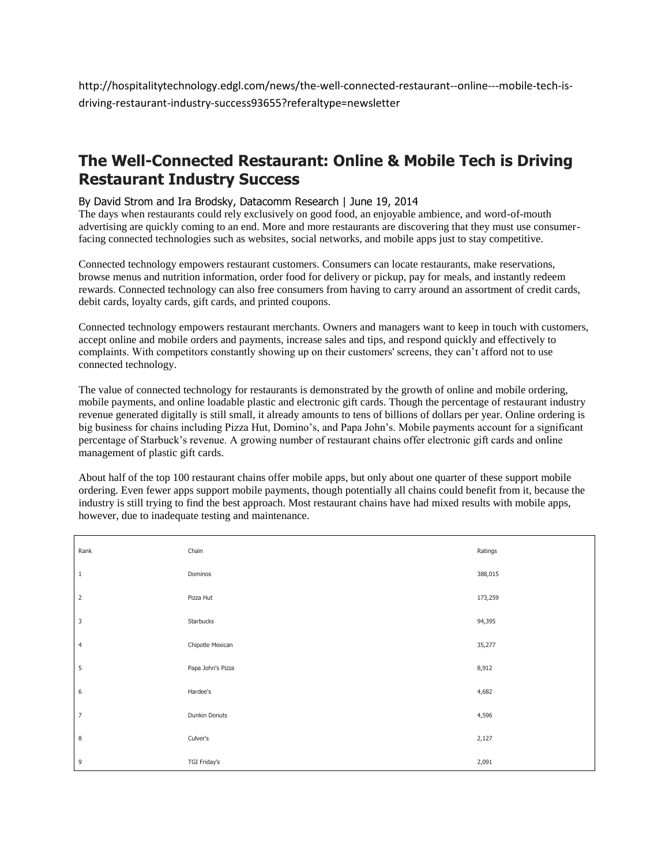http://hospitalitytechnology.edgl.com/news/the-well-connected-restaurant--online---mobile-tech-isdriving-restaurant-industry-success93655?referaltype=newsletter

## **The Well-Connected Restaurant: Online & Mobile Tech is Driving Restaurant Industry Success**

## By David Strom and Ira Brodsky, Datacomm Research | June 19, 2014

The days when restaurants could rely exclusively on good food, an enjoyable ambience, and word-of-mouth advertising are quickly coming to an end. More and more restaurants are discovering that they must use consumerfacing connected technologies such as websites, social networks, and mobile apps just to stay competitive.

Connected technology empowers restaurant customers. Consumers can locate restaurants, make reservations, browse menus and nutrition information, order food for delivery or pickup, pay for meals, and instantly redeem rewards. Connected technology can also free consumers from having to carry around an assortment of credit cards, debit cards, loyalty cards, gift cards, and printed coupons.

Connected technology empowers restaurant merchants. Owners and managers want to keep in touch with customers, accept online and mobile orders and payments, increase sales and tips, and respond quickly and effectively to complaints. With competitors constantly showing up on their customers' screens, they can't afford not to use connected technology.

The value of connected technology for restaurants is demonstrated by the growth of online and mobile ordering, mobile payments, and online loadable plastic and electronic gift cards. Though the percentage of restaurant industry revenue generated digitally is still small, it already amounts to tens of billions of dollars per year. Online ordering is big business for chains including Pizza Hut, Domino's, and Papa John's. Mobile payments account for a significant percentage of Starbuck's revenue. A growing number of restaurant chains offer electronic gift cards and online management of plastic gift cards.

About half of the top 100 restaurant chains offer mobile apps, but only about one quarter of these support mobile ordering. Even fewer apps support mobile payments, though potentially all chains could benefit from it, because the industry is still trying to find the best approach. Most restaurant chains have had mixed results with mobile apps, however, due to inadequate testing and maintenance.

| Rank           | Chain               | Ratings |
|----------------|---------------------|---------|
| $\,1\,$        | Dominos             | 388,015 |
| $\overline{2}$ | Pizza Hut           | 173,259 |
| $\mathsf 3$    | Starbucks           | 94,395  |
| $\overline{4}$ | Chipotle Mexican    | 35,277  |
| 5              | Papa John's Pizza   | 8,912   |
| 6              | Hardee's            | 4,682   |
| $\overline{7}$ | Dunkin Donuts       | 4,596   |
| 8              | Culver's            | 2,127   |
| 9              | <b>TGI Friday's</b> | 2,091   |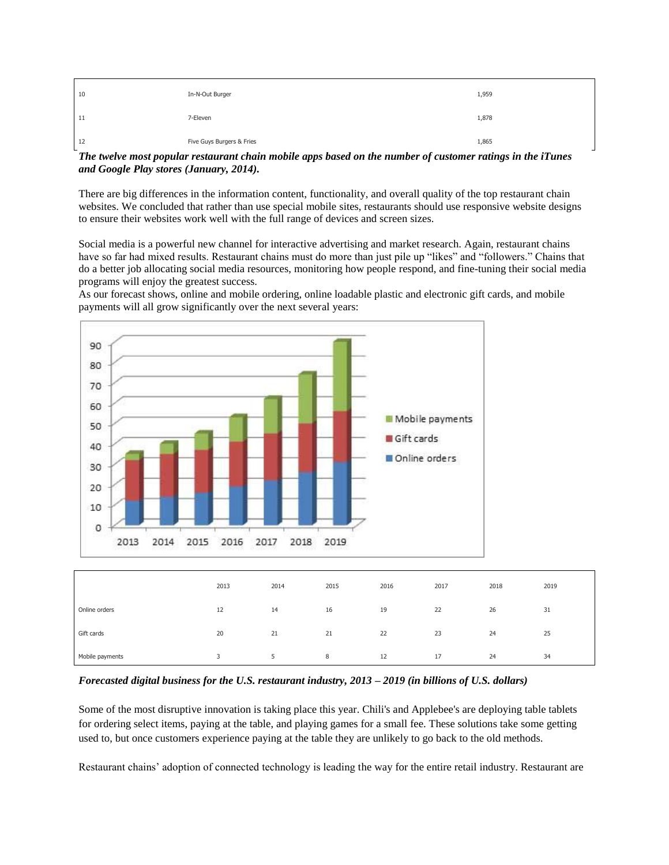| 10 | In-N-Out Burger           | 1,959 |
|----|---------------------------|-------|
| 11 | 7-Eleven                  | 1,878 |
| 12 | Five Guys Burgers & Fries | 1,865 |

*The twelve most popular restaurant chain mobile apps based on the number of customer ratings in the iTunes and Google Play stores (January, 2014).*

There are big differences in the information content, functionality, and overall quality of the top restaurant chain websites. We concluded that rather than use special mobile sites, restaurants should use responsive website designs to ensure their websites work well with the full range of devices and screen sizes.

Social media is a powerful new channel for interactive advertising and market research. Again, restaurant chains have so far had mixed results. Restaurant chains must do more than just pile up "likes" and "followers." Chains that do a better job allocating social media resources, monitoring how people respond, and fine-tuning their social media programs will enjoy the greatest success.



As our forecast shows, online and mobile ordering, online loadable plastic and electronic gift cards, and mobile payments will all grow significantly over the next several years:

*Forecasted digital business for the U.S. restaurant industry, 2013 – 2019 (in billions of U.S. dollars)*

Some of the most disruptive innovation is taking place this year. Chili's and Applebee's are deploying table tablets for ordering select items, paying at the table, and playing games for a small fee. These solutions take some getting used to, but once customers experience paying at the table they are unlikely to go back to the old methods.

Restaurant chains' adoption of connected technology is leading the way for the entire retail industry. Restaurant are